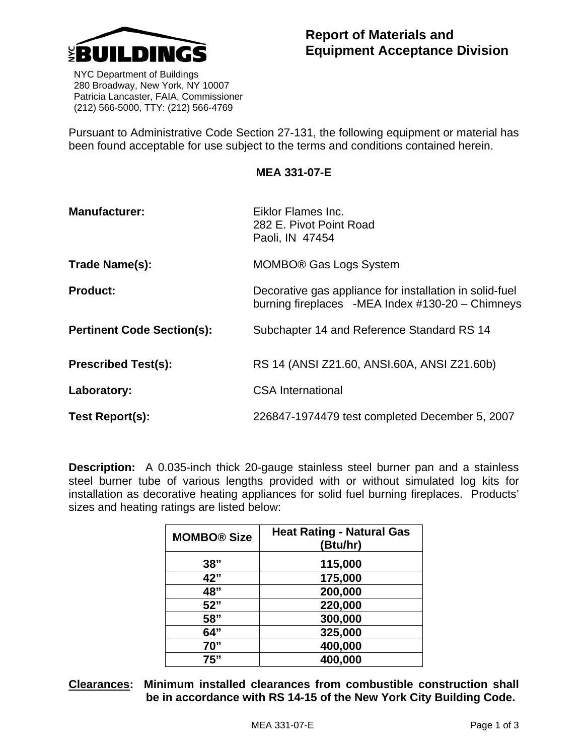

 NYC Department of Buildings 280 Broadway, New York, NY 10007 Patricia Lancaster, FAIA, Commissioner (212) 566-5000, TTY: (212) 566-4769

Pursuant to Administrative Code Section 27-131, the following equipment or material has been found acceptable for use subject to the terms and conditions contained herein.

**MEA 331-07-E** 

| <b>Manufacturer:</b>              | Eiklor Flames Inc.<br>282 E. Pivot Point Road<br>Paoli, IN 47454                                            |
|-----------------------------------|-------------------------------------------------------------------------------------------------------------|
| Trade Name(s):                    | MOMBO <sup>®</sup> Gas Logs System                                                                          |
| <b>Product:</b>                   | Decorative gas appliance for installation in solid-fuel<br>burning fireplaces -MEA Index #130-20 - Chimneys |
| <b>Pertinent Code Section(s):</b> | Subchapter 14 and Reference Standard RS 14                                                                  |
| <b>Prescribed Test(s):</b>        | RS 14 (ANSI Z21.60, ANSI.60A, ANSI Z21.60b)                                                                 |
| Laboratory:                       | <b>CSA International</b>                                                                                    |
| Test Report(s):                   | 226847-1974479 test completed December 5, 2007                                                              |

**Description:** A 0.035-inch thick 20-gauge stainless steel burner pan and a stainless steel burner tube of various lengths provided with or without simulated log kits for installation as decorative heating appliances for solid fuel burning fireplaces. Products' sizes and heating ratings are listed below:

| <b>MOMBO® Size</b> | <b>Heat Rating - Natural Gas</b><br>(Btu/hr) |
|--------------------|----------------------------------------------|
| 38"                | 115,000                                      |
| 42"                | 175,000                                      |
| 48"                | 200,000                                      |
| 52"                | 220,000                                      |
| 58"                | 300,000                                      |
| 64"                | 325,000                                      |
| 70"                | 400,000                                      |
| 75"                | 400,000                                      |

**Clearances: Minimum installed clearances from combustible construction shall be in accordance with RS 14-15 of the New York City Building Code.**